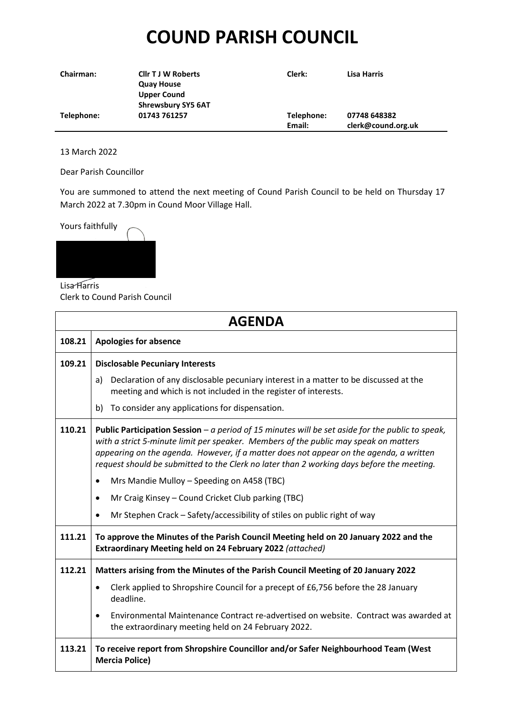## **COUND PARISH COUNCIL**

| <b>Chairman:</b> | <b>Cllr T J W Roberts</b> | Clerk:     | Lisa Harris        |
|------------------|---------------------------|------------|--------------------|
|                  | <b>Quay House</b>         |            |                    |
|                  | <b>Upper Cound</b>        |            |                    |
|                  | <b>Shrewsbury SY5 6AT</b> |            |                    |
| Telephone:       | 01743 761257              | Telephone: | 07748 648382       |
|                  |                           | Email:     | clerk@cound.org.uk |

13 March 2022

Dear Parish Councillor

You are summoned to attend the next meeting of Cound Parish Council to be held on Thursday 17 March 2022 at 7.30pm in Cound Moor Village Hall.



Lisa Harris Clerk to Cound Parish Council

| <b>AGENDA</b> |                                                                                                                                                                                                                                                                                                                                                                                 |  |  |  |
|---------------|---------------------------------------------------------------------------------------------------------------------------------------------------------------------------------------------------------------------------------------------------------------------------------------------------------------------------------------------------------------------------------|--|--|--|
| 108.21        | <b>Apologies for absence</b>                                                                                                                                                                                                                                                                                                                                                    |  |  |  |
| 109.21        | <b>Disclosable Pecuniary Interests</b>                                                                                                                                                                                                                                                                                                                                          |  |  |  |
|               | Declaration of any disclosable pecuniary interest in a matter to be discussed at the<br>a)<br>meeting and which is not included in the register of interests.                                                                                                                                                                                                                   |  |  |  |
|               | To consider any applications for dispensation.<br>b)                                                                                                                                                                                                                                                                                                                            |  |  |  |
| 110.21        | Public Participation Session - a period of 15 minutes will be set aside for the public to speak,<br>with a strict 5-minute limit per speaker. Members of the public may speak on matters<br>appearing on the agenda. However, if a matter does not appear on the agenda, a written<br>request should be submitted to the Clerk no later than 2 working days before the meeting. |  |  |  |
|               | Mrs Mandie Mulloy - Speeding on A458 (TBC)<br>$\bullet$                                                                                                                                                                                                                                                                                                                         |  |  |  |
|               | Mr Craig Kinsey - Cound Cricket Club parking (TBC)<br>$\bullet$                                                                                                                                                                                                                                                                                                                 |  |  |  |
|               | Mr Stephen Crack - Safety/accessibility of stiles on public right of way<br>$\bullet$                                                                                                                                                                                                                                                                                           |  |  |  |
| 111.21        | To approve the Minutes of the Parish Council Meeting held on 20 January 2022 and the<br>Extraordinary Meeting held on 24 February 2022 (attached)                                                                                                                                                                                                                               |  |  |  |
| 112.21        | Matters arising from the Minutes of the Parish Council Meeting of 20 January 2022                                                                                                                                                                                                                                                                                               |  |  |  |
|               | Clerk applied to Shropshire Council for a precept of £6,756 before the 28 January<br>$\bullet$<br>deadline.                                                                                                                                                                                                                                                                     |  |  |  |
|               | Environmental Maintenance Contract re-advertised on website. Contract was awarded at<br>$\bullet$<br>the extraordinary meeting held on 24 February 2022.                                                                                                                                                                                                                        |  |  |  |
| 113.21        | To receive report from Shropshire Councillor and/or Safer Neighbourhood Team (West<br><b>Mercia Police)</b>                                                                                                                                                                                                                                                                     |  |  |  |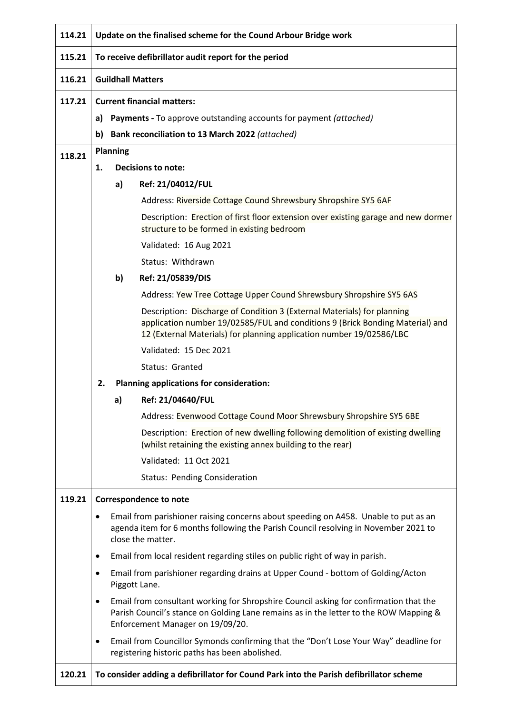| 114.21 | Update on the finalised scheme for the Cound Arbour Bridge work                                                |                                                                          |                                                                                                                                                                                                                                  |  |  |
|--------|----------------------------------------------------------------------------------------------------------------|--------------------------------------------------------------------------|----------------------------------------------------------------------------------------------------------------------------------------------------------------------------------------------------------------------------------|--|--|
| 115.21 | To receive defibrillator audit report for the period                                                           |                                                                          |                                                                                                                                                                                                                                  |  |  |
| 116.21 | <b>Guildhall Matters</b>                                                                                       |                                                                          |                                                                                                                                                                                                                                  |  |  |
| 117.21 | <b>Current financial matters:</b>                                                                              |                                                                          |                                                                                                                                                                                                                                  |  |  |
|        | a)                                                                                                             | <b>Payments</b> - To approve outstanding accounts for payment (attached) |                                                                                                                                                                                                                                  |  |  |
|        | b)                                                                                                             |                                                                          | Bank reconciliation to 13 March 2022 (attached)                                                                                                                                                                                  |  |  |
| 118.21 |                                                                                                                | Planning                                                                 |                                                                                                                                                                                                                                  |  |  |
|        | 1.                                                                                                             | <b>Decisions to note:</b>                                                |                                                                                                                                                                                                                                  |  |  |
|        |                                                                                                                | a)                                                                       | Ref: 21/04012/FUL                                                                                                                                                                                                                |  |  |
|        |                                                                                                                |                                                                          | Address: Riverside Cottage Cound Shrewsbury Shropshire SY5 6AF                                                                                                                                                                   |  |  |
|        |                                                                                                                |                                                                          | Description: Erection of first floor extension over existing garage and new dormer<br>structure to be formed in existing bedroom                                                                                                 |  |  |
|        |                                                                                                                |                                                                          | Validated: 16 Aug 2021                                                                                                                                                                                                           |  |  |
|        |                                                                                                                |                                                                          | Status: Withdrawn                                                                                                                                                                                                                |  |  |
|        |                                                                                                                | b)                                                                       | Ref: 21/05839/DIS                                                                                                                                                                                                                |  |  |
|        |                                                                                                                |                                                                          | Address: Yew Tree Cottage Upper Cound Shrewsbury Shropshire SY5 6AS                                                                                                                                                              |  |  |
|        |                                                                                                                |                                                                          | Description: Discharge of Condition 3 (External Materials) for planning<br>application number 19/02585/FUL and conditions 9 (Brick Bonding Material) and<br>12 (External Materials) for planning application number 19/02586/LBC |  |  |
|        |                                                                                                                |                                                                          | Validated: 15 Dec 2021                                                                                                                                                                                                           |  |  |
|        |                                                                                                                |                                                                          | Status: Granted                                                                                                                                                                                                                  |  |  |
|        | Planning applications for consideration:<br>2.                                                                 |                                                                          |                                                                                                                                                                                                                                  |  |  |
|        |                                                                                                                | a)                                                                       | Ref: 21/04640/FUL                                                                                                                                                                                                                |  |  |
|        |                                                                                                                |                                                                          | Address: Evenwood Cottage Cound Moor Shrewsbury Shropshire SY5 6BE                                                                                                                                                               |  |  |
|        |                                                                                                                |                                                                          | Description: Erection of new dwelling following demolition of existing dwelling<br>(whilst retaining the existing annex building to the rear)                                                                                    |  |  |
|        |                                                                                                                |                                                                          | Validated: 11 Oct 2021                                                                                                                                                                                                           |  |  |
|        |                                                                                                                |                                                                          | <b>Status: Pending Consideration</b>                                                                                                                                                                                             |  |  |
| 119.21 |                                                                                                                |                                                                          | <b>Correspondence to note</b>                                                                                                                                                                                                    |  |  |
|        | $\bullet$                                                                                                      |                                                                          | Email from parishioner raising concerns about speeding on A458. Unable to put as an<br>agenda item for 6 months following the Parish Council resolving in November 2021 to<br>close the matter.                                  |  |  |
|        | $\bullet$                                                                                                      |                                                                          | Email from local resident regarding stiles on public right of way in parish.                                                                                                                                                     |  |  |
|        | Email from parishioner regarding drains at Upper Cound - bottom of Golding/Acton<br>$\bullet$<br>Piggott Lane. |                                                                          |                                                                                                                                                                                                                                  |  |  |
|        | $\bullet$                                                                                                      |                                                                          | Email from consultant working for Shropshire Council asking for confirmation that the<br>Parish Council's stance on Golding Lane remains as in the letter to the ROW Mapping &<br>Enforcement Manager on 19/09/20.               |  |  |
|        | ٠                                                                                                              |                                                                          | Email from Councillor Symonds confirming that the "Don't Lose Your Way" deadline for<br>registering historic paths has been abolished.                                                                                           |  |  |
| 120.21 | To consider adding a defibrillator for Cound Park into the Parish defibrillator scheme                         |                                                                          |                                                                                                                                                                                                                                  |  |  |